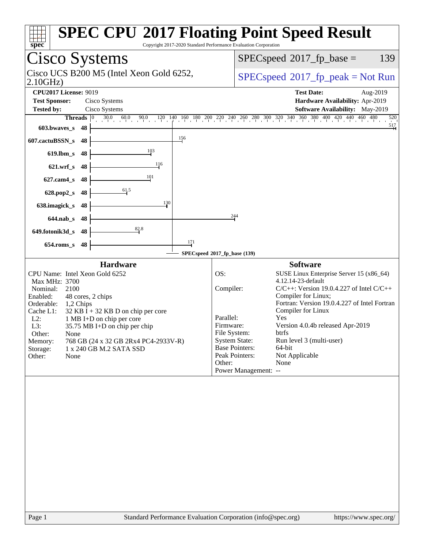| spec<br>Copyright 2017-2020 Standard Performance Evaluation Corporation                                                                                                                                                                                                                                                                                                                                              | <b>SPEC CPU®2017 Floating Point Speed Result</b>                                                                                                                                                                                                                                                                                                                                                                                                                                                                       |
|----------------------------------------------------------------------------------------------------------------------------------------------------------------------------------------------------------------------------------------------------------------------------------------------------------------------------------------------------------------------------------------------------------------------|------------------------------------------------------------------------------------------------------------------------------------------------------------------------------------------------------------------------------------------------------------------------------------------------------------------------------------------------------------------------------------------------------------------------------------------------------------------------------------------------------------------------|
| Cisco Systems                                                                                                                                                                                                                                                                                                                                                                                                        | $SPEC speed^{\circ}2017$ fp base =<br>139                                                                                                                                                                                                                                                                                                                                                                                                                                                                              |
| Cisco UCS B200 M5 (Intel Xeon Gold 6252,<br>2.10GHz                                                                                                                                                                                                                                                                                                                                                                  | $SPEC speed^{\circ}2017\_fp\_peak = Not Run$                                                                                                                                                                                                                                                                                                                                                                                                                                                                           |
| <b>CPU2017 License: 9019</b><br><b>Test Sponsor:</b><br>Cisco Systems<br>Cisco Systems<br><b>Tested by:</b><br>Threads<br>$ 0\rangle$<br>603.bwaves_s<br>-48                                                                                                                                                                                                                                                         | <b>Test Date:</b><br>Aug-2019<br>Hardware Availability: Apr-2019<br>Software Availability: May-2019<br>$30.0 \t 60.0 \t 90.0 \t 120 \t 140 \t 160 \t 180 \t 200 \t 240 \t 240 \t 260 \t 300 \t 320 \t 340 \t 360 \t 380 \t 400 \t 420 \t 440 \t 460 \t 480$<br>520<br>517                                                                                                                                                                                                                                              |
| 156<br>607.cactuBSSN_s<br>48<br>103<br>$619$ .lbm_s<br>48<br>116<br>$621.wrf$ <sub>S</sub><br>48<br>101<br>$627$ .cam $4$ <sub>S</sub><br>48<br>61.5<br>628.pop2_s<br>48<br>130<br>638.imagick_s<br>48<br>$644$ .nab $\sf s$<br>48<br>82.8<br>649.fotonik3d_s<br>48<br>171<br>$654$ .roms_s<br>48                                                                                                                    | 244                                                                                                                                                                                                                                                                                                                                                                                                                                                                                                                    |
|                                                                                                                                                                                                                                                                                                                                                                                                                      | SPECspeed®2017_fp_base (139)                                                                                                                                                                                                                                                                                                                                                                                                                                                                                           |
| <b>Hardware</b><br>CPU Name: Intel Xeon Gold 6252<br>Max MHz: 3700<br>Nominal:<br>2100<br>Enabled:<br>48 cores, 2 chips<br>Orderable:<br>1,2 Chips<br>Cache L1:<br>$32$ KB I + 32 KB D on chip per core<br>$L2$ :<br>1 MB I+D on chip per core<br>L3:<br>35.75 MB I+D on chip per chip<br>Other:<br>None<br>768 GB (24 x 32 GB 2Rx4 PC4-2933V-R)<br>Memory:<br>1 x 240 GB M.2 SATA SSD<br>Storage:<br>Other:<br>None | <b>Software</b><br>OS:<br>SUSE Linux Enterprise Server 15 (x86_64)<br>4.12.14-23-default<br>Compiler:<br>$C/C++$ : Version 19.0.4.227 of Intel $C/C++$<br>Compiler for Linux;<br>Fortran: Version 19.0.4.227 of Intel Fortran<br>Compiler for Linux<br>Yes<br>Parallel:<br>Version 4.0.4b released Apr-2019<br>Firmware:<br>File System:<br>btrfs<br><b>System State:</b><br>Run level 3 (multi-user)<br><b>Base Pointers:</b><br>64-bit<br>Peak Pointers:<br>Not Applicable<br>None<br>Other:<br>Power Management: -- |
| Standard Performance Evaluation Corporation (info@spec.org)<br>Page 1                                                                                                                                                                                                                                                                                                                                                | https://www.spec.org/                                                                                                                                                                                                                                                                                                                                                                                                                                                                                                  |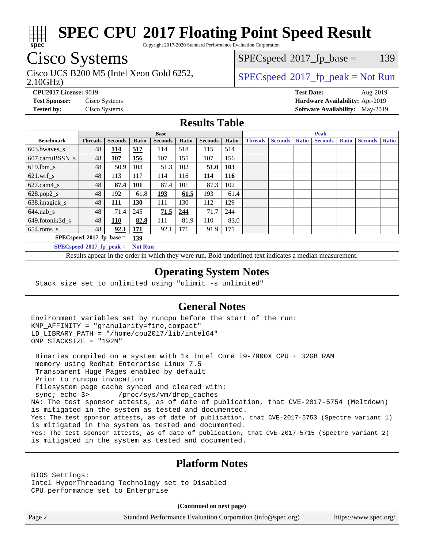

Copyright 2017-2020 Standard Performance Evaluation Corporation

# Cisco Systems

Cisco UCS B200 M5 (Intel Xeon Gold 6252,  $\vert$  [SPECspeed](http://www.spec.org/auto/cpu2017/Docs/result-fields.html#SPECspeed2017fppeak)<sup>®</sup>[2017\\_fp\\_peak = N](http://www.spec.org/auto/cpu2017/Docs/result-fields.html#SPECspeed2017fppeak)ot Run

 $SPECspeed^{\circledcirc}2017_fp\_base = 139$  $SPECspeed^{\circledcirc}2017_fp\_base = 139$ 

#### 2.10GHz)

**[CPU2017 License:](http://www.spec.org/auto/cpu2017/Docs/result-fields.html#CPU2017License)** 9019 **[Test Date:](http://www.spec.org/auto/cpu2017/Docs/result-fields.html#TestDate)** Aug-2019 **[Test Sponsor:](http://www.spec.org/auto/cpu2017/Docs/result-fields.html#TestSponsor)** Cisco Systems **[Hardware Availability:](http://www.spec.org/auto/cpu2017/Docs/result-fields.html#HardwareAvailability)** Apr-2019 **[Tested by:](http://www.spec.org/auto/cpu2017/Docs/result-fields.html#Testedby)** Cisco Systems **[Software Availability:](http://www.spec.org/auto/cpu2017/Docs/result-fields.html#SoftwareAvailability)** May-2019

## **[Results Table](http://www.spec.org/auto/cpu2017/Docs/result-fields.html#ResultsTable)**

|                                      |                             | <b>Base</b><br><b>Peak</b> |                |                |       |                |            |                |                |              |                |              |                |              |
|--------------------------------------|-----------------------------|----------------------------|----------------|----------------|-------|----------------|------------|----------------|----------------|--------------|----------------|--------------|----------------|--------------|
| <b>Benchmark</b>                     | <b>Threads</b>              | <b>Seconds</b>             | Ratio          | <b>Seconds</b> | Ratio | <b>Seconds</b> | Ratio      | <b>Threads</b> | <b>Seconds</b> | <b>Ratio</b> | <b>Seconds</b> | <b>Ratio</b> | <b>Seconds</b> | <b>Ratio</b> |
| $603.bwaves$ s                       | 48                          | 114                        | 517            | 114            | 518   | 115            | 514        |                |                |              |                |              |                |              |
| 607.cactuBSSN s                      | 48                          | 107                        | 156            | 107            | 155   | 107            | 156        |                |                |              |                |              |                |              |
| $619.1$ bm s                         | 48                          | 50.9                       | 103            | 51.3           | 102   | 51.0           | 103        |                |                |              |                |              |                |              |
| $621$ .wrf s                         | 48                          | 113                        | 117            | 114            | 116   | 114            | <u>116</u> |                |                |              |                |              |                |              |
| $627$ .cam $4 \text{ s}$             | 48                          | 87.4                       | <u>101</u>     | 87.4           | 101   | 87.3           | 102        |                |                |              |                |              |                |              |
| $628.pop2_s$                         | 48                          | 192                        | 61.8           | 193            | 61.5  | 193            | 61.4       |                |                |              |                |              |                |              |
| 638.imagick_s                        | 48                          | 111                        | 130            | 111            | 130   | 112            | 129        |                |                |              |                |              |                |              |
| $644$ .nab s                         | 48                          | 71.4                       | 245            | 71.5           | 244   | 71.7           | 244        |                |                |              |                |              |                |              |
| 649.fotonik3d s                      | 48                          | <u>110</u>                 | 82.8           | 111            | 81.9  | 110            | 83.0       |                |                |              |                |              |                |              |
| $654$ .roms s                        | 48                          | 92.1                       | 171            | 92.1           | 171   | 91.9           | 171        |                |                |              |                |              |                |              |
|                                      | $SPECspeed*2017_fp\_base =$ |                            | 139            |                |       |                |            |                |                |              |                |              |                |              |
| $SPEC speed^{\circ}2017\_fp\_peak =$ |                             |                            | <b>Not Run</b> |                |       |                |            |                |                |              |                |              |                |              |

Results appear in the [order in which they were run.](http://www.spec.org/auto/cpu2017/Docs/result-fields.html#RunOrder) Bold underlined text [indicates a median measurement](http://www.spec.org/auto/cpu2017/Docs/result-fields.html#Median).

#### **[Operating System Notes](http://www.spec.org/auto/cpu2017/Docs/result-fields.html#OperatingSystemNotes)**

Stack size set to unlimited using "ulimit -s unlimited"

## **[General Notes](http://www.spec.org/auto/cpu2017/Docs/result-fields.html#GeneralNotes)**

Environment variables set by runcpu before the start of the run: KMP\_AFFINITY = "granularity=fine,compact" LD\_LIBRARY\_PATH = "/home/cpu2017/lib/intel64" OMP\_STACKSIZE = "192M"

 Binaries compiled on a system with 1x Intel Core i9-7900X CPU + 32GB RAM memory using Redhat Enterprise Linux 7.5 Transparent Huge Pages enabled by default Prior to runcpu invocation Filesystem page cache synced and cleared with: sync; echo 3> /proc/sys/vm/drop\_caches NA: The test sponsor attests, as of date of publication, that CVE-2017-5754 (Meltdown) is mitigated in the system as tested and documented. Yes: The test sponsor attests, as of date of publication, that CVE-2017-5753 (Spectre variant 1) is mitigated in the system as tested and documented. Yes: The test sponsor attests, as of date of publication, that CVE-2017-5715 (Spectre variant 2) is mitigated in the system as tested and documented.

## **[Platform Notes](http://www.spec.org/auto/cpu2017/Docs/result-fields.html#PlatformNotes)**

BIOS Settings: Intel HyperThreading Technology set to Disabled CPU performance set to Enterprise

**(Continued on next page)**

Page 2 Standard Performance Evaluation Corporation [\(info@spec.org\)](mailto:info@spec.org) <https://www.spec.org/>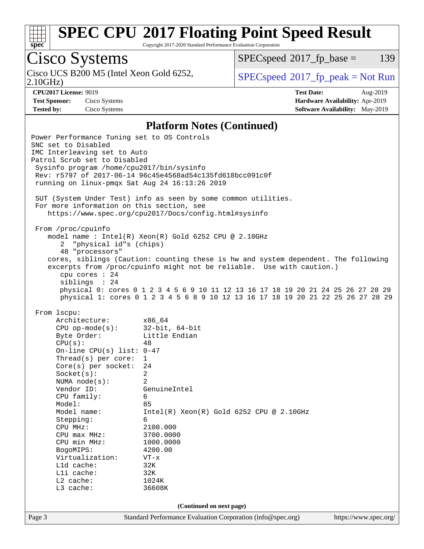

Copyright 2017-2020 Standard Performance Evaluation Corporation

# Cisco Systems

Cisco UCS B200 M5 (Intel Xeon Gold 6252,<br>2.10GHz)

 $SPECspeed^{\circ}2017\_fp\_base = 139$  $SPECspeed^{\circ}2017\_fp\_base = 139$ 

 $SPEC speed^{\circ}2017\_fp\_peak = Not Run$ 

**[Test Sponsor:](http://www.spec.org/auto/cpu2017/Docs/result-fields.html#TestSponsor)** Cisco Systems **[Hardware Availability:](http://www.spec.org/auto/cpu2017/Docs/result-fields.html#HardwareAvailability)** Apr-2019

**[CPU2017 License:](http://www.spec.org/auto/cpu2017/Docs/result-fields.html#CPU2017License)** 9019 **[Test Date:](http://www.spec.org/auto/cpu2017/Docs/result-fields.html#TestDate)** Aug-2019 **[Tested by:](http://www.spec.org/auto/cpu2017/Docs/result-fields.html#Testedby)** Cisco Systems **[Software Availability:](http://www.spec.org/auto/cpu2017/Docs/result-fields.html#SoftwareAvailability)** May-2019

#### **[Platform Notes \(Continued\)](http://www.spec.org/auto/cpu2017/Docs/result-fields.html#PlatformNotes)**

Page 3 Standard Performance Evaluation Corporation [\(info@spec.org\)](mailto:info@spec.org) <https://www.spec.org/> Power Performance Tuning set to OS Controls SNC set to Disabled IMC Interleaving set to Auto Patrol Scrub set to Disabled Sysinfo program /home/cpu2017/bin/sysinfo Rev: r5797 of 2017-06-14 96c45e4568ad54c135fd618bcc091c0f running on linux-pmqx Sat Aug 24 16:13:26 2019 SUT (System Under Test) info as seen by some common utilities. For more information on this section, see <https://www.spec.org/cpu2017/Docs/config.html#sysinfo> From /proc/cpuinfo model name : Intel(R) Xeon(R) Gold 6252 CPU @ 2.10GHz 2 "physical id"s (chips) 48 "processors" cores, siblings (Caution: counting these is hw and system dependent. The following excerpts from /proc/cpuinfo might not be reliable. Use with caution.) cpu cores : 24 siblings : 24 physical 0: cores 0 1 2 3 4 5 6 9 10 11 12 13 16 17 18 19 20 21 24 25 26 27 28 29 physical 1: cores 0 1 2 3 4 5 6 8 9 10 12 13 16 17 18 19 20 21 22 25 26 27 28 29 From lscpu: Architecture: x86\_64 CPU op-mode(s): 32-bit, 64-bit Byte Order: Little Endian  $CPU(s):$  48 On-line CPU(s) list: 0-47 Thread(s) per core: 1 Core(s) per socket: 24 Socket(s): 2 NUMA node(s): 2 Vendor ID: GenuineIntel CPU family: 6 Model: 85 Model name: Intel(R) Xeon(R) Gold 6252 CPU @ 2.10GHz Stepping: 6 CPU MHz: 2100.000 CPU max MHz: 3700.0000<br>CPU min MHz: 1000.0000 CPU min MHz: 1000.0000 BogoMIPS: 4200.00 Virtualization: VT-x L1d cache: 32K L1i cache: 32K L2 cache: 1024K L3 cache: 36608K **(Continued on next page)**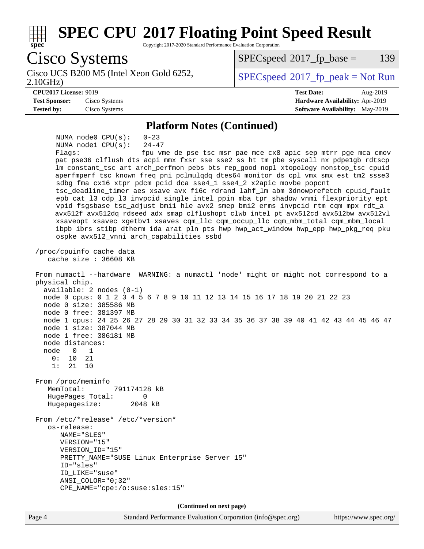

Page 4 Standard Performance Evaluation Corporation [\(info@spec.org\)](mailto:info@spec.org) <https://www.spec.org/>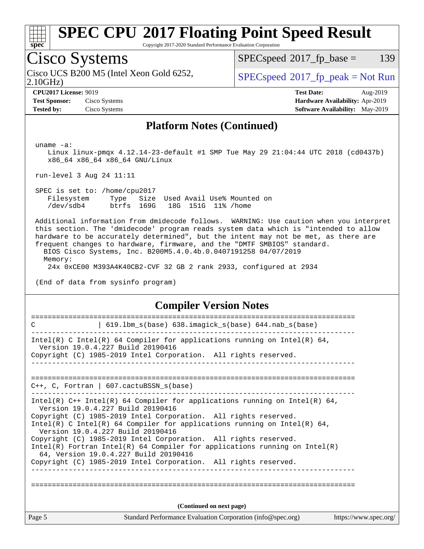

Copyright 2017-2020 Standard Performance Evaluation Corporation

## Cisco Systems

2.10GHz) Cisco UCS B200 M5 (Intel Xeon Gold 6252,  $\vert$  [SPECspeed](http://www.spec.org/auto/cpu2017/Docs/result-fields.html#SPECspeed2017fppeak)<sup>®</sup>[2017\\_fp\\_peak = N](http://www.spec.org/auto/cpu2017/Docs/result-fields.html#SPECspeed2017fppeak)ot Run

 $SPECspeed^{\circledcirc}2017_fp\_base = 139$  $SPECspeed^{\circledcirc}2017_fp\_base = 139$ 

**[Test Sponsor:](http://www.spec.org/auto/cpu2017/Docs/result-fields.html#TestSponsor)** Cisco Systems **[Hardware Availability:](http://www.spec.org/auto/cpu2017/Docs/result-fields.html#HardwareAvailability)** Apr-2019 **[Tested by:](http://www.spec.org/auto/cpu2017/Docs/result-fields.html#Testedby)** Cisco Systems **[Software Availability:](http://www.spec.org/auto/cpu2017/Docs/result-fields.html#SoftwareAvailability)** May-2019

**[CPU2017 License:](http://www.spec.org/auto/cpu2017/Docs/result-fields.html#CPU2017License)** 9019 **[Test Date:](http://www.spec.org/auto/cpu2017/Docs/result-fields.html#TestDate)** Aug-2019

### **[Platform Notes \(Continued\)](http://www.spec.org/auto/cpu2017/Docs/result-fields.html#PlatformNotes)**

uname -a:

 Linux linux-pmqx 4.12.14-23-default #1 SMP Tue May 29 21:04:44 UTC 2018 (cd0437b) x86\_64 x86\_64 x86\_64 GNU/Linux

run-level 3 Aug 24 11:11

 SPEC is set to: /home/cpu2017 Filesystem Type Size Used Avail Use% Mounted on /dev/sdb4 btrfs 169G 18G 151G 11% /home

 Additional information from dmidecode follows. WARNING: Use caution when you interpret this section. The 'dmidecode' program reads system data which is "intended to allow hardware to be accurately determined", but the intent may not be met, as there are frequent changes to hardware, firmware, and the "DMTF SMBIOS" standard.

 BIOS Cisco Systems, Inc. B200M5.4.0.4b.0.0407191258 04/07/2019 Memory:

24x 0xCE00 M393A4K40CB2-CVF 32 GB 2 rank 2933, configured at 2934

(End of data from sysinfo program)

#### **[Compiler Version Notes](http://www.spec.org/auto/cpu2017/Docs/result-fields.html#CompilerVersionNotes)**

| Page 5 | Standard Performance Evaluation Corporation (info@spec.org)                                                                                                                              | https://www.spec.org/ |
|--------|------------------------------------------------------------------------------------------------------------------------------------------------------------------------------------------|-----------------------|
|        | (Continued on next page)                                                                                                                                                                 |                       |
|        | Copyright (C) 1985-2019 Intel Corporation. All rights reserved.                                                                                                                          |                       |
|        | Copyright (C) 1985-2019 Intel Corporation. All rights reserved.<br>Intel(R) Fortran Intel(R) 64 Compiler for applications running on $Intel(R)$<br>64, Version 19.0.4.227 Build 20190416 |                       |
|        | Intel(R) C Intel(R) 64 Compiler for applications running on Intel(R) 64,<br>Version 19.0.4.227 Build 20190416                                                                            |                       |
|        | Intel(R) $C++$ Intel(R) 64 Compiler for applications running on Intel(R) 64,<br>Version 19.0.4.227 Build 20190416<br>Copyright (C) 1985-2019 Intel Corporation. All rights reserved.     |                       |
|        |                                                                                                                                                                                          |                       |
|        | $C_{++}$ , C, Fortran   607. cactuBSSN s(base)                                                                                                                                           |                       |
|        |                                                                                                                                                                                          |                       |
|        | Intel(R) C Intel(R) 64 Compiler for applications running on Intel(R) 64,<br>Version 19.0.4.227 Build 20190416<br>Copyright (C) 1985-2019 Intel Corporation. All rights reserved.         |                       |
| C      | 619.1bm_s(base) 638.imagick_s(base) 644.nab_s(base)                                                                                                                                      |                       |
|        |                                                                                                                                                                                          |                       |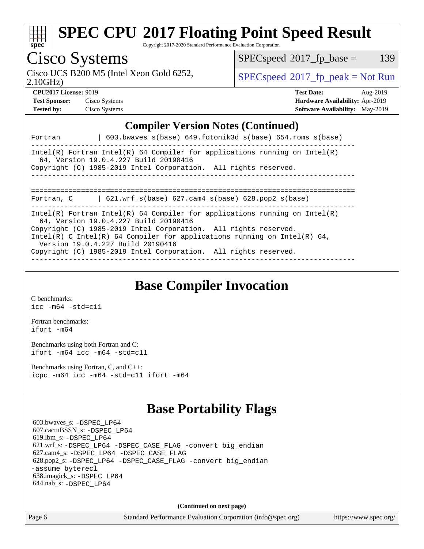

Copyright 2017-2020 Standard Performance Evaluation Corporation

## Cisco Systems

Cisco UCS B200 M5 (Intel Xeon Gold 6252,  $\vert$  [SPECspeed](http://www.spec.org/auto/cpu2017/Docs/result-fields.html#SPECspeed2017fppeak)<sup>®</sup>[2017\\_fp\\_peak = N](http://www.spec.org/auto/cpu2017/Docs/result-fields.html#SPECspeed2017fppeak)ot Run

 $SPECspeed^{\circledcirc}2017_fp\_base = 139$  $SPECspeed^{\circledcirc}2017_fp\_base = 139$ 

2.10GHz)

**[Test Sponsor:](http://www.spec.org/auto/cpu2017/Docs/result-fields.html#TestSponsor)** Cisco Systems **[Hardware Availability:](http://www.spec.org/auto/cpu2017/Docs/result-fields.html#HardwareAvailability)** Apr-2019 **[Tested by:](http://www.spec.org/auto/cpu2017/Docs/result-fields.html#Testedby)** Cisco Systems **[Software Availability:](http://www.spec.org/auto/cpu2017/Docs/result-fields.html#SoftwareAvailability)** May-2019

**[CPU2017 License:](http://www.spec.org/auto/cpu2017/Docs/result-fields.html#CPU2017License)** 9019 **[Test Date:](http://www.spec.org/auto/cpu2017/Docs/result-fields.html#TestDate)** Aug-2019

**[Compiler Version Notes \(Continued\)](http://www.spec.org/auto/cpu2017/Docs/result-fields.html#CompilerVersionNotes)**

| Fortran    | 603.bwayes $s(base)$ 649.fotonik3d $s(base)$ 654.roms $s(base)$                                                                                                                                                                                                                                                                                                            |  |
|------------|----------------------------------------------------------------------------------------------------------------------------------------------------------------------------------------------------------------------------------------------------------------------------------------------------------------------------------------------------------------------------|--|
|            | Intel(R) Fortran Intel(R) 64 Compiler for applications running on Intel(R)<br>64, Version 19.0.4.227 Build 20190416<br>Copyright (C) 1985-2019 Intel Corporation. All rights reserved.                                                                                                                                                                                     |  |
| Fortran, C | 621.wrf $s(base)$ 627.cam4 $s(base)$ 628.pop2 $s(base)$                                                                                                                                                                                                                                                                                                                    |  |
|            | Intel(R) Fortran Intel(R) 64 Compiler for applications running on Intel(R)<br>64, Version 19.0.4.227 Build 20190416<br>Copyright (C) 1985-2019 Intel Corporation. All rights reserved.<br>Intel(R) C Intel(R) 64 Compiler for applications running on Intel(R) 64,<br>Version 19.0.4.227 Build 20190416<br>Copyright (C) 1985-2019 Intel Corporation. All rights reserved. |  |

**[Base Compiler Invocation](http://www.spec.org/auto/cpu2017/Docs/result-fields.html#BaseCompilerInvocation)**

[C benchmarks](http://www.spec.org/auto/cpu2017/Docs/result-fields.html#Cbenchmarks): [icc -m64 -std=c11](http://www.spec.org/cpu2017/results/res2019q3/cpu2017-20190903-17748.flags.html#user_CCbase_intel_icc_64bit_c11_33ee0cdaae7deeeab2a9725423ba97205ce30f63b9926c2519791662299b76a0318f32ddfffdc46587804de3178b4f9328c46fa7c2b0cd779d7a61945c91cd35)

[Fortran benchmarks](http://www.spec.org/auto/cpu2017/Docs/result-fields.html#Fortranbenchmarks): [ifort -m64](http://www.spec.org/cpu2017/results/res2019q3/cpu2017-20190903-17748.flags.html#user_FCbase_intel_ifort_64bit_24f2bb282fbaeffd6157abe4f878425411749daecae9a33200eee2bee2fe76f3b89351d69a8130dd5949958ce389cf37ff59a95e7a40d588e8d3a57e0c3fd751)

[Benchmarks using both Fortran and C](http://www.spec.org/auto/cpu2017/Docs/result-fields.html#BenchmarksusingbothFortranandC): [ifort -m64](http://www.spec.org/cpu2017/results/res2019q3/cpu2017-20190903-17748.flags.html#user_CC_FCbase_intel_ifort_64bit_24f2bb282fbaeffd6157abe4f878425411749daecae9a33200eee2bee2fe76f3b89351d69a8130dd5949958ce389cf37ff59a95e7a40d588e8d3a57e0c3fd751) [icc -m64 -std=c11](http://www.spec.org/cpu2017/results/res2019q3/cpu2017-20190903-17748.flags.html#user_CC_FCbase_intel_icc_64bit_c11_33ee0cdaae7deeeab2a9725423ba97205ce30f63b9926c2519791662299b76a0318f32ddfffdc46587804de3178b4f9328c46fa7c2b0cd779d7a61945c91cd35)

[Benchmarks using Fortran, C, and C++:](http://www.spec.org/auto/cpu2017/Docs/result-fields.html#BenchmarksusingFortranCandCXX) [icpc -m64](http://www.spec.org/cpu2017/results/res2019q3/cpu2017-20190903-17748.flags.html#user_CC_CXX_FCbase_intel_icpc_64bit_4ecb2543ae3f1412ef961e0650ca070fec7b7afdcd6ed48761b84423119d1bf6bdf5cad15b44d48e7256388bc77273b966e5eb805aefd121eb22e9299b2ec9d9) [icc -m64 -std=c11](http://www.spec.org/cpu2017/results/res2019q3/cpu2017-20190903-17748.flags.html#user_CC_CXX_FCbase_intel_icc_64bit_c11_33ee0cdaae7deeeab2a9725423ba97205ce30f63b9926c2519791662299b76a0318f32ddfffdc46587804de3178b4f9328c46fa7c2b0cd779d7a61945c91cd35) [ifort -m64](http://www.spec.org/cpu2017/results/res2019q3/cpu2017-20190903-17748.flags.html#user_CC_CXX_FCbase_intel_ifort_64bit_24f2bb282fbaeffd6157abe4f878425411749daecae9a33200eee2bee2fe76f3b89351d69a8130dd5949958ce389cf37ff59a95e7a40d588e8d3a57e0c3fd751)

## **[Base Portability Flags](http://www.spec.org/auto/cpu2017/Docs/result-fields.html#BasePortabilityFlags)**

 603.bwaves\_s: [-DSPEC\\_LP64](http://www.spec.org/cpu2017/results/res2019q3/cpu2017-20190903-17748.flags.html#suite_basePORTABILITY603_bwaves_s_DSPEC_LP64) 607.cactuBSSN\_s: [-DSPEC\\_LP64](http://www.spec.org/cpu2017/results/res2019q3/cpu2017-20190903-17748.flags.html#suite_basePORTABILITY607_cactuBSSN_s_DSPEC_LP64) 619.lbm\_s: [-DSPEC\\_LP64](http://www.spec.org/cpu2017/results/res2019q3/cpu2017-20190903-17748.flags.html#suite_basePORTABILITY619_lbm_s_DSPEC_LP64) 621.wrf\_s: [-DSPEC\\_LP64](http://www.spec.org/cpu2017/results/res2019q3/cpu2017-20190903-17748.flags.html#suite_basePORTABILITY621_wrf_s_DSPEC_LP64) [-DSPEC\\_CASE\\_FLAG](http://www.spec.org/cpu2017/results/res2019q3/cpu2017-20190903-17748.flags.html#b621.wrf_s_baseCPORTABILITY_DSPEC_CASE_FLAG) [-convert big\\_endian](http://www.spec.org/cpu2017/results/res2019q3/cpu2017-20190903-17748.flags.html#user_baseFPORTABILITY621_wrf_s_convert_big_endian_c3194028bc08c63ac5d04de18c48ce6d347e4e562e8892b8bdbdc0214820426deb8554edfa529a3fb25a586e65a3d812c835984020483e7e73212c4d31a38223) 627.cam4\_s: [-DSPEC\\_LP64](http://www.spec.org/cpu2017/results/res2019q3/cpu2017-20190903-17748.flags.html#suite_basePORTABILITY627_cam4_s_DSPEC_LP64) [-DSPEC\\_CASE\\_FLAG](http://www.spec.org/cpu2017/results/res2019q3/cpu2017-20190903-17748.flags.html#b627.cam4_s_baseCPORTABILITY_DSPEC_CASE_FLAG) 628.pop2\_s: [-DSPEC\\_LP64](http://www.spec.org/cpu2017/results/res2019q3/cpu2017-20190903-17748.flags.html#suite_basePORTABILITY628_pop2_s_DSPEC_LP64) [-DSPEC\\_CASE\\_FLAG](http://www.spec.org/cpu2017/results/res2019q3/cpu2017-20190903-17748.flags.html#b628.pop2_s_baseCPORTABILITY_DSPEC_CASE_FLAG) [-convert big\\_endian](http://www.spec.org/cpu2017/results/res2019q3/cpu2017-20190903-17748.flags.html#user_baseFPORTABILITY628_pop2_s_convert_big_endian_c3194028bc08c63ac5d04de18c48ce6d347e4e562e8892b8bdbdc0214820426deb8554edfa529a3fb25a586e65a3d812c835984020483e7e73212c4d31a38223) [-assume byterecl](http://www.spec.org/cpu2017/results/res2019q3/cpu2017-20190903-17748.flags.html#user_baseFPORTABILITY628_pop2_s_assume_byterecl_7e47d18b9513cf18525430bbf0f2177aa9bf368bc7a059c09b2c06a34b53bd3447c950d3f8d6c70e3faf3a05c8557d66a5798b567902e8849adc142926523472) 638.imagick\_s: [-DSPEC\\_LP64](http://www.spec.org/cpu2017/results/res2019q3/cpu2017-20190903-17748.flags.html#suite_basePORTABILITY638_imagick_s_DSPEC_LP64) 644.nab\_s: [-DSPEC\\_LP64](http://www.spec.org/cpu2017/results/res2019q3/cpu2017-20190903-17748.flags.html#suite_basePORTABILITY644_nab_s_DSPEC_LP64)

**(Continued on next page)**

Page 6 Standard Performance Evaluation Corporation [\(info@spec.org\)](mailto:info@spec.org) <https://www.spec.org/>